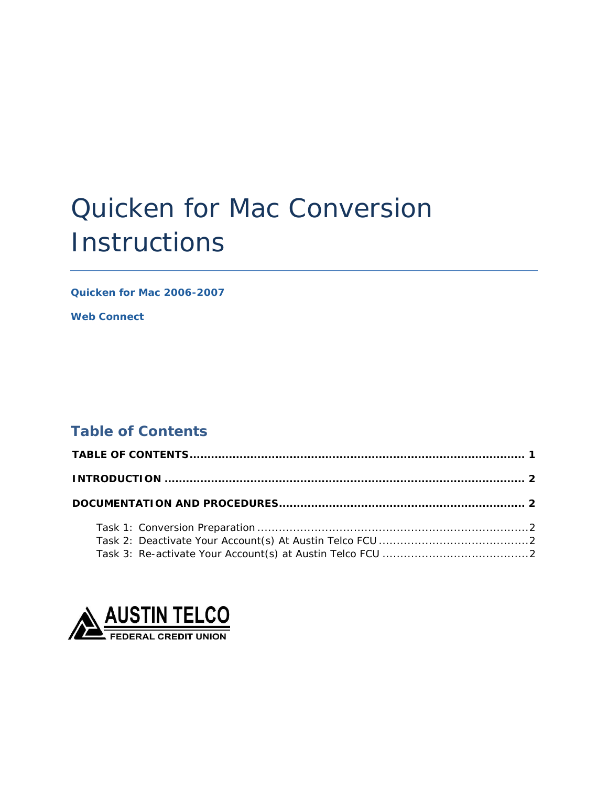# Quicken for Mac Conversion **Instructions**

*Quicken for Mac 2006-2007* 

*Web Connect*

# <span id="page-0-0"></span>**Table of Contents**

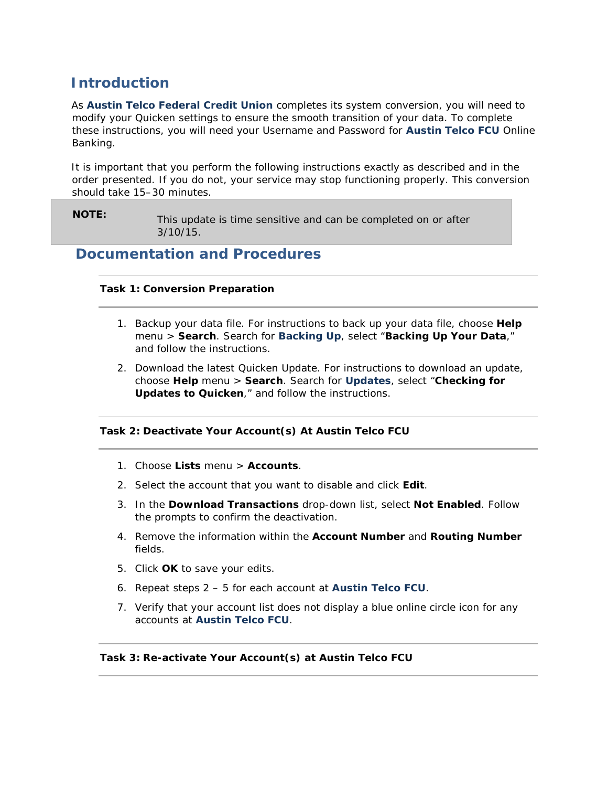# <span id="page-1-0"></span>**Introduction**

 As *Austin Telco Federal Credit Union* completes its system conversion, you will need to modify your Quicken settings to ensure the smooth transition of your data. To complete these instructions, you will need your Username and Password for *Austin Telco FCU* Online Banking.

 It is important that you perform the following instructions exactly as described and in the order presented. If you do not, your service may stop functioning properly. This conversion should take 15–30 minutes.

 **NOTE:** This update is time sensitive and can be completed on or after 3/10/15.

## <span id="page-1-2"></span><span id="page-1-1"></span>**Documentation and Procedures**

### **Task 1: Conversion Preparation**

- 1. Backup your data file. For instructions to back up your data file, choose **Help**  menu > **Search**. Search for *Backing Up*, select "**Backing Up Your Data**," and follow the instructions.
- 2. Download the latest Quicken Update. For instructions to download an update, choose **Help** menu > **Search**. Search for *Updates*, select "**Checking for Updates to Quicken**," and follow the instructions.

#### <span id="page-1-3"></span> **Task 2: Deactivate Your Account(s) At Austin Telco FCU**

- 1. Choose **Lists** menu > **Accounts**.
- 2. Select the account that you want to disable and click **Edit**.
- 3. In the **Download Transactions** drop-down list, select **Not Enabled**. Follow the prompts to confirm the deactivation.
- 4. Remove the information within the **Account Number** and **Routing Number**  fields.
- 5. Click **OK** to save your edits.
- 6. Repeat steps 2 5 for each account at *Austin Telco FCU*.
- 7. Verify that your account list does not display a blue online circle icon for any accounts at *Austin Telco FCU*.

#### <span id="page-1-4"></span> **Task 3: Re-activate Your Account(s) at Austin Telco FCU**